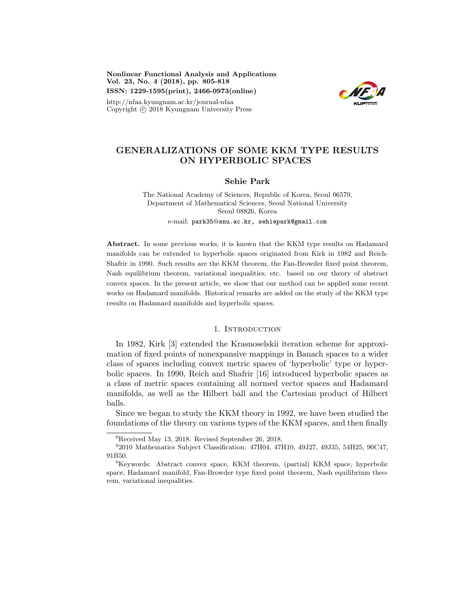Nonlinear Functional Analysis and Applications Vol. 23, No. 4 (2018), pp. 805-818 ISSN: 1229-1595(print), 2466-0973(online)

http://nfaa.kyungnam.ac.kr/journal-nfaa Copyright  $\odot$  2018 Kyungnam University Press



# GENERALIZATIONS OF SOME KKM TYPE RESULTS ON HYPERBOLIC SPACES

### Sehie Park

The National Academy of Sciences, Republic of Korea, Seoul 06579, Department of Mathematical Sciences, Seoul National University Seoul 08826, Korea e-mail: park35@snu.ac.kr, sehiepark@gmail.com

Abstract. In some previous works, it is known that the KKM type results on Hadamard manifolds can be extended to hyperbolic spaces originated from Kirk in 1982 and Reich-Shafrir in 1990. Such results are the KKM theorem, the Fan-Browder fixed point theorem, Nash equilibrium theorem, variational inequalities, etc. based on our theory of abstract convex spaces. In the present article, we show that our method can be applied some recent works on Hadamard manifolds. Historical remarks are added on the study of the KKM type results on Hadamard manifolds and hyperbolic spaces.

### 1. INTRODUCTION

In 1982, Kirk [3] extended the Krasnoselskii iteration scheme for approximation of fixed points of nonexpansive mappings in Banach spaces to a wider class of spaces including convex metric spaces of 'hyperbolic' type or hyperbolic spaces. In 1990, Reich and Shafrir [16] introduced hyperbolic spaces as a class of metric spaces containing all normed vector spaces and Hadamard manifolds, as well as the Hilbert ball and the Cartesian product of Hilbert balls.

Since we began to study the KKM theory in 1992, we have been studied the foundations of the theory on various types of the KKM spaces, and then finally

 ${}^{0}$ Received May 13, 2018. Revised September 26, 2018.

<sup>0</sup> 2010 Mathematics Subject Classification: 47H04, 47H10, 49J27, 49J35, 54H25, 90C47, 91B50.

<sup>&</sup>lt;sup>0</sup>Keywords: Abstract convex space, KKM theorem, (partial) KKM space, hyperbolic space, Hadamard manifold, Fan-Browder type fixed point theorem, Nash equilibrium theorem, variational inequalities.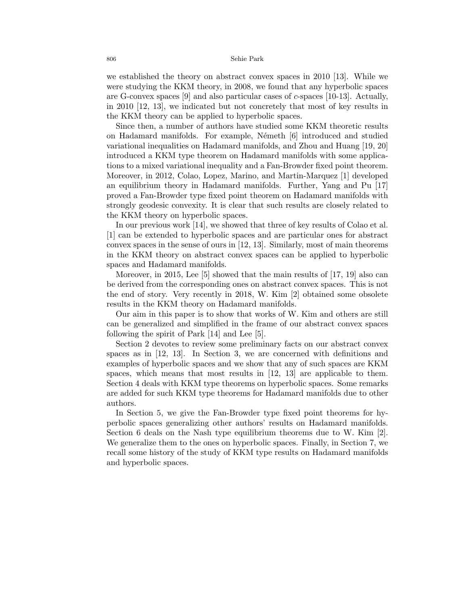we established the theory on abstract convex spaces in 2010 [13]. While we were studying the KKM theory, in 2008, we found that any hyperbolic spaces are G-convex spaces [9] and also particular cases of c-spaces [10-13]. Actually, in 2010 [12, 13], we indicated but not concretely that most of key results in the KKM theory can be applied to hyperbolic spaces.

Since then, a number of authors have studied some KKM theoretic results on Hadamard manifolds. For example, N´emeth [6] introduced and studied variational inequalities on Hadamard manifolds, and Zhou and Huang [19, 20] introduced a KKM type theorem on Hadamard manifolds with some applications to a mixed variational inequality and a Fan-Browder fixed point theorem. Moreover, in 2012, Colao, Lopez, Marino, and Martin-Marquez [1] developed an equilibrium theory in Hadamard manifolds. Further, Yang and Pu [17] proved a Fan-Browder type fixed point theorem on Hadamard manifolds with strongly geodesic convexity. It is clear that such results are closely related to the KKM theory on hyperbolic spaces.

In our previous work [14], we showed that three of key results of Colao et al. [1] can be extended to hyperbolic spaces and are particular ones for abstract convex spaces in the sense of ours in [12, 13]. Similarly, most of main theorems in the KKM theory on abstract convex spaces can be applied to hyperbolic spaces and Hadamard manifolds.

Moreover, in 2015, Lee [5] showed that the main results of [17, 19] also can be derived from the corresponding ones on abstract convex spaces. This is not the end of story. Very recently in 2018, W. Kim [2] obtained some obsolete results in the KKM theory on Hadamard manifolds.

Our aim in this paper is to show that works of W. Kim and others are still can be generalized and simplified in the frame of our abstract convex spaces following the spirit of Park [14] and Lee [5].

Section 2 devotes to review some preliminary facts on our abstract convex spaces as in [12, 13]. In Section 3, we are concerned with definitions and examples of hyperbolic spaces and we show that any of such spaces are KKM spaces, which means that most results in [12, 13] are applicable to them. Section 4 deals with KKM type theorems on hyperbolic spaces. Some remarks are added for such KKM type theorems for Hadamard manifolds due to other authors.

In Section 5, we give the Fan-Browder type fixed point theorems for hyperbolic spaces generalizing other authors' results on Hadamard manifolds. Section 6 deals on the Nash type equilibrium theorems due to W. Kim [2]. We generalize them to the ones on hyperbolic spaces. Finally, in Section 7, we recall some history of the study of KKM type results on Hadamard manifolds and hyperbolic spaces.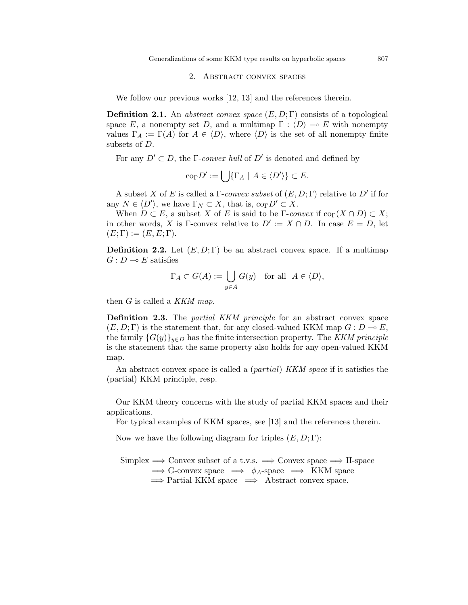Generalizations of some KKM type results on hyperbolic spaces 807

### 2. Abstract convex spaces

We follow our previous works [12, 13] and the references therein.

**Definition 2.1.** An abstract convex space  $(E, D; \Gamma)$  consists of a topological space E, a nonempty set D, and a multimap  $\Gamma : \langle D \rangle \to E$  with nonempty values  $\Gamma_A := \Gamma(A)$  for  $A \in \langle D \rangle$ , where  $\langle D \rangle$  is the set of all nonempty finite subsets of D.

For any  $D' \subset D$ , the *Γ-convex hull* of  $D'$  is denoted and defined by

$$
\operatorname{co}_{\Gamma} D' := \bigcup \{ \Gamma_A \mid A \in \langle D' \rangle \} \subset E.
$$

A subset X of E is called a  $\Gamma$ -convex subset of  $(E, D; \Gamma)$  relative to  $D'$  if for any  $N \in \langle D' \rangle$ , we have  $\Gamma_N \subset X$ , that is,  $\text{co}_{\Gamma} D' \subset X$ .

When  $D \subset E$ , a subset X of E is said to be  $\Gamma$ -convex if co $\Gamma(X \cap D) \subset X$ ; in other words, X is Γ-convex relative to  $D' := X \cap D$ . In case  $E = D$ , let  $(E; \Gamma) := (E, E; \Gamma).$ 

**Definition 2.2.** Let  $(E, D; \Gamma)$  be an abstract convex space. If a multimap  $G: D \longrightarrow E$  satisfies

$$
\Gamma_A \subset G(A) := \bigcup_{y \in A} G(y) \quad \text{for all} \ \ A \in \langle D \rangle,
$$

then  $G$  is called a KKM map.

**Definition 2.3.** The *partial KKM principle* for an abstract convex space  $(E, D; \Gamma)$  is the statement that, for any closed-valued KKM map  $G: D \to E$ , the family  ${G(y)}_{y\in D}$  has the finite intersection property. The KKM principle is the statement that the same property also holds for any open-valued KKM map.

An abstract convex space is called a (partial) KKM space if it satisfies the (partial) KKM principle, resp.

Our KKM theory concerns with the study of partial KKM spaces and their applications.

For typical examples of KKM spaces, see [13] and the references therein.

Now we have the following diagram for triples  $(E, D; \Gamma)$ :

Simplex  $\Rightarrow$  Convex subset of a t.v.s.  $\Rightarrow$  Convex space  $\Rightarrow$  H-space  $\Rightarrow$  G-convex space  $\Rightarrow \phi_A$ -space  $\Rightarrow$  KKM space  $\Rightarrow$  Partial KKM space  $\Rightarrow$  Abstract convex space.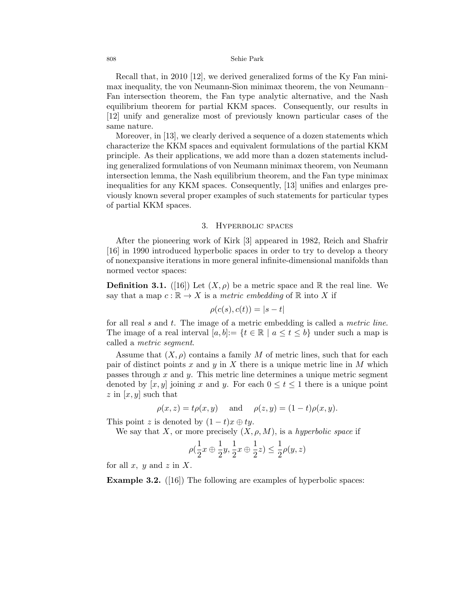Recall that, in 2010 [12], we derived generalized forms of the Ky Fan minimax inequality, the von Neumann-Sion minimax theorem, the von Neumann– Fan intersection theorem, the Fan type analytic alternative, and the Nash equilibrium theorem for partial KKM spaces. Consequently, our results in [12] unify and generalize most of previously known particular cases of the same nature.

Moreover, in [13], we clearly derived a sequence of a dozen statements which characterize the KKM spaces and equivalent formulations of the partial KKM principle. As their applications, we add more than a dozen statements including generalized formulations of von Neumann minimax theorem, von Neumann intersection lemma, the Nash equilibrium theorem, and the Fan type minimax inequalities for any KKM spaces. Consequently, [13] unifies and enlarges previously known several proper examples of such statements for particular types of partial KKM spaces.

## 3. Hyperbolic spaces

After the pioneering work of Kirk [3] appeared in 1982, Reich and Shafrir [16] in 1990 introduced hyperbolic spaces in order to try to develop a theory of nonexpansive iterations in more general infinite-dimensional manifolds than normed vector spaces:

**Definition 3.1.** ([16]) Let  $(X, \rho)$  be a metric space and R the real line. We say that a map  $c : \mathbb{R} \to X$  is a metric embedding of  $\mathbb R$  into X if

$$
\rho(c(s), c(t)) = |s - t|
$$

for all real s and t. The image of a metric embedding is called a metric line. The image of a real interval  $[a, b] := \{t \in \mathbb{R} \mid a \le t \le b\}$  under such a map is called a metric segment.

Assume that  $(X, \rho)$  contains a family M of metric lines, such that for each pair of distinct points x and y in X there is a unique metric line in M which passes through x and y. This metric line determines a unique metric segment denoted by  $[x, y]$  joining x and y. For each  $0 \le t \le 1$  there is a unique point  $z$  in  $[x, y]$  such that

$$
\rho(x, z) = t\rho(x, y)
$$
 and  $\rho(z, y) = (1 - t)\rho(x, y)$ .

This point z is denoted by  $(1-t)x \oplus ty$ .

We say that X, or more precisely  $(X, \rho, M)$ , is a hyperbolic space if

$$
\rho(\frac{1}{2}x\oplus\frac{1}{2}y,\frac{1}{2}x\oplus\frac{1}{2}z)\leq\frac{1}{2}\rho(y,z)
$$

for all x, y and z in X.

Example 3.2. ([16]) The following are examples of hyperbolic spaces: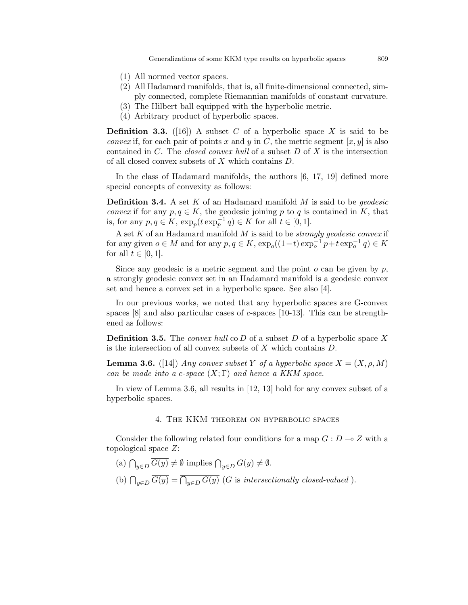Generalizations of some KKM type results on hyperbolic spaces 809

- (1) All normed vector spaces.
- (2) All Hadamard manifolds, that is, all finite-dimensional connected, simply connected, complete Riemannian manifolds of constant curvature.
- (3) The Hilbert ball equipped with the hyperbolic metric.
- (4) Arbitrary product of hyperbolic spaces.

**Definition 3.3.** ([16]) A subset C of a hyperbolic space X is said to be *convex* if, for each pair of points x and y in C, the metric segment  $[x, y]$  is also contained in  $C$ . The *closed convex hull* of a subset  $D$  of  $X$  is the intersection of all closed convex subsets of X which contains D.

In the class of Hadamard manifolds, the authors [6, 17, 19] defined more special concepts of convexity as follows:

**Definition 3.4.** A set  $K$  of an Hadamard manifold  $M$  is said to be *geodesic convex* if for any  $p, q \in K$ , the geodesic joining p to q is contained in K, that is, for any  $p, q \in K$ ,  $\exp_p(t \exp_p^{-1} q) \in K$  for all  $t \in [0, 1]$ .

A set  $K$  of an Hadamard manifold  $M$  is said to be *strongly geodesic convex* if for any given  $o \in M$  and for any  $p, q \in K$ ,  $\exp_o((1-t)\exp_o^{-1} p + t \exp_o^{-1} q) \in K$ for all  $t \in [0, 1]$ .

Since any geodesic is a metric segment and the point  $o$  can be given by  $p$ , a strongly geodesic convex set in an Hadamard manifold is a geodesic convex set and hence a convex set in a hyperbolic space. See also [4].

In our previous works, we noted that any hyperbolic spaces are G-convex spaces  $[8]$  and also particular cases of c-spaces  $[10-13]$ . This can be strengthened as follows:

**Definition 3.5.** The *convex hull* co D of a subset D of a hyperbolic space X is the intersection of all convex subsets of  $X$  which contains  $D$ .

**Lemma 3.6.** ([14]) Any convex subset Y of a hyperbolic space  $X = (X, \rho, M)$ can be made into a c-space  $(X; \Gamma)$  and hence a KKM space.

In view of Lemma 3.6, all results in [12, 13] hold for any convex subset of a hyperbolic spaces.

### 4. The KKM theorem on hyperbolic spaces

Consider the following related four conditions for a map  $G: D \to Z$  with a topological space Z:

- (a)  $\bigcap_{y\in D} G(y) \neq \emptyset$  implies  $\bigcap_{y\in D} G(y) \neq \emptyset$ .
- (b)  $\bigcap_{y\in D} G(y) = \bigcap_{y\in D} G(y)$  (G is intersectionally closed-valued).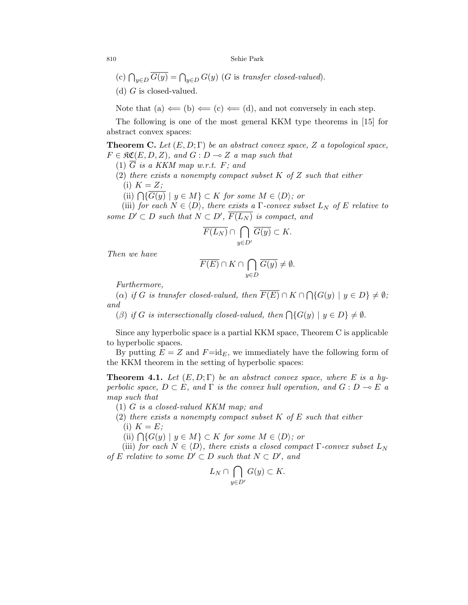- (c)  $\bigcap_{y \in D} G(y) = \bigcap_{y \in D} G(y)$  (G is transfer closed-valued).
- (d)  $G$  is closed-valued.

Note that (a)  $\Leftarrow$  (b)  $\Leftarrow$  (c)  $\Leftarrow$  (d), and not conversely in each step.

The following is one of the most general KKM type theorems in [15] for abstract convex spaces:

**Theorem C.** Let  $(E, D; \Gamma)$  be an abstract convex space, Z a topological space,  $F \in \mathfrak{RC}(E, D, Z)$ , and  $G : D \multimap Z$  a map such that

(1)  $\overline{G}$  is a KKM map w.r.t. F; and

(2) there exists a nonempty compact subset  $K$  of  $Z$  such that either (i)  $K = Z$ ;

(ii)  $\bigcap \{G(y) \mid y \in M\} \subset K$  for some  $M \in \langle D \rangle$ ; or

(iii) for each  $N \in \langle D \rangle$ , there exists a  $\Gamma$ -convex subset  $L_N$  of E relative to some  $D' \subset D$  such that  $N \subset D'$ ,  $\overline{F(L_N)}$  is compact, and

$$
\overline{F(L_N)} \cap \bigcap_{y \in D'} \overline{G(y)} \subset K.
$$

Then we have

$$
\overline{F(E)}\cap K\cap \bigcap_{y\in D}\overline{G(y)}\neq \emptyset.
$$

Furthermore,

(a) if G is transfer closed-valued, then  $F(E) \cap K \cap \bigcap \{G(y) \mid y \in D\} \neq \emptyset$ ; and

(β) if G is intersectionally closed-valued, then  $\bigcap \{G(y) \mid y \in D\} \neq \emptyset$ .

Since any hyperbolic space is a partial KKM space, Theorem C is applicable to hyperbolic spaces.

By putting  $E = Z$  and  $F = id_F$ , we immediately have the following form of the KKM theorem in the setting of hyperbolic spaces:

**Theorem 4.1.** Let  $(E, D; \Gamma)$  be an abstract convex space, where E is a hyperbolic space,  $D \subset E$ , and  $\Gamma$  is the convex hull operation, and  $G : D \multimap E$  a map such that

(1) G is a closed-valued KKM map; and

- (2) there exists a nonempty compact subset  $K$  of  $E$  such that either
	- (i)  $K = E$ ;

(ii)  $\bigcap \{G(y) \mid y \in M\} \subset K$  for some  $M \in \langle D \rangle$ ; or

(iii) for each  $N \in \langle D \rangle$ , there exists a closed compact  $\Gamma$ -convex subset  $L_N$ of E relative to some  $D' \subset D$  such that  $N \subset D'$ , and

$$
L_N \cap \bigcap_{y \in D'} G(y) \subset K.
$$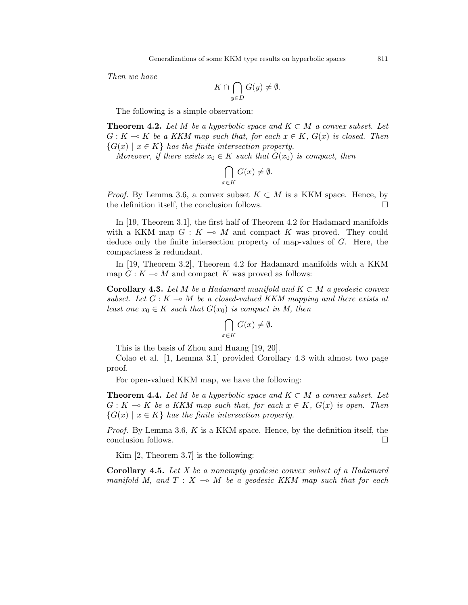Then we have

$$
K \cap \bigcap_{y \in D} G(y) \neq \emptyset.
$$

The following is a simple observation:

**Theorem 4.2.** Let M be a hyperbolic space and  $K \subset M$  a convex subset. Let  $G: K \to K$  be a KKM map such that, for each  $x \in K$ ,  $G(x)$  is closed. Then  ${G(x) \mid x \in K}$  has the finite intersection property.

Moreover, if there exists  $x_0 \in K$  such that  $G(x_0)$  is compact, then

$$
\bigcap_{x \in K} G(x) \neq \emptyset.
$$

*Proof.* By Lemma 3.6, a convex subset  $K \subset M$  is a KKM space. Hence, by the definition itself, the conclusion follows.

In [19, Theorem 3.1], the first half of Theorem 4.2 for Hadamard manifolds with a KKM map  $G: K \multimap M$  and compact K was proved. They could deduce only the finite intersection property of map-values of G. Here, the compactness is redundant.

In [19, Theorem 3.2], Theorem 4.2 for Hadamard manifolds with a KKM map  $G: K \longrightarrow M$  and compact K was proved as follows:

**Corollary 4.3.** Let M be a Hadamard manifold and  $K \subset M$  a geodesic convex subset. Let  $G : K \multimap M$  be a closed-valued KKM mapping and there exists at least one  $x_0 \in K$  such that  $G(x_0)$  is compact in M, then

$$
\bigcap_{x \in K} G(x) \neq \emptyset.
$$

This is the basis of Zhou and Huang [19, 20].

Colao et al. [1, Lemma 3.1] provided Corollary 4.3 with almost two page proof.

For open-valued KKM map, we have the following:

**Theorem 4.4.** Let M be a hyperbolic space and  $K \subset M$  a convex subset. Let  $G: K \multimap K$  be a KKM map such that, for each  $x \in K$ ,  $G(x)$  is open. Then  ${G(x) \mid x \in K}$  has the finite intersection property.

*Proof.* By Lemma 3.6, K is a KKM space. Hence, by the definition itself, the conclusion follows.

Kim [2, Theorem 3.7] is the following:

Corollary 4.5. Let X be a nonempty geodesic convex subset of a Hadamard manifold M, and  $T : X \multimap M$  be a geodesic KKM map such that for each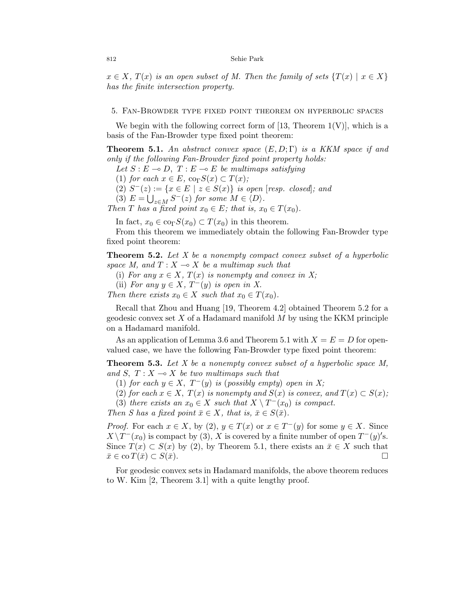$x \in X$ ,  $T(x)$  is an open subset of M. Then the family of sets  $\{T(x) \mid x \in X\}$ has the finite intersection property.

#### 5. Fan-Browder type fixed point theorem on hyperbolic spaces

We begin with the following correct form of [13, Theorem  $1(V)$ ], which is a basis of the Fan-Browder type fixed point theorem:

**Theorem 5.1.** An abstract convex space  $(E, D; \Gamma)$  is a KKM space if and only if the following Fan-Browder fixed point property holds:

Let  $S : E \multimap D$ ,  $T : E \multimap E$  be multimaps satisfying

(1) for each  $x \in E$ , co<sub> $\Gamma$ </sub> $S(x) \subset T(x)$ ;

(2)  $S^-(z) := \{x \in E \mid z \in S(x)\}\$ is open [resp. closed]; and

(3)  $E = \bigcup_{z \in M} S^{-}(z)$  for some  $M \in \langle D \rangle$ .

Then T has a fixed point  $x_0 \in E$ ; that is,  $x_0 \in T(x_0)$ .

In fact,  $x_0 \in \text{co}_{\Gamma}S(x_0) \subset T(x_0)$  in this theorem.

From this theorem we immediately obtain the following Fan-Browder type fixed point theorem:

**Theorem 5.2.** Let  $X$  be a nonempty compact convex subset of a hyperbolic space M, and  $T : X \rightarrow X$  be a multimap such that

(i) For any  $x \in X$ ,  $T(x)$  is nonempty and convex in X;

(ii) For any  $y \in X$ ,  $T^-(y)$  is open in X.

Then there exists  $x_0 \in X$  such that  $x_0 \in T(x_0)$ .

Recall that Zhou and Huang [19, Theorem 4.2] obtained Theorem 5.2 for a geodesic convex set  $X$  of a Hadamard manifold  $M$  by using the KKM principle on a Hadamard manifold.

As an application of Lemma 3.6 and Theorem 5.1 with  $X = E = D$  for openvalued case, we have the following Fan-Browder type fixed point theorem:

**Theorem 5.3.** Let  $X$  be a nonempty convex subset of a hyperbolic space  $M$ , and S,  $T : X \longrightarrow X$  be two multimaps such that

(1) for each  $y \in X$ ,  $T^-(y)$  is (possibly empty) open in X;

(2) for each  $x \in X$ ,  $T(x)$  is nonempty and  $S(x)$  is convex, and  $T(x) \subset S(x)$ ;

(3) there exists an  $x_0 \in X$  such that  $X \setminus T^{-1}(x_0)$  is compact.

Then S has a fixed point  $\bar{x} \in X$ , that is,  $\bar{x} \in S(\bar{x})$ .

*Proof.* For each  $x \in X$ , by  $(2), y \in T(x)$  or  $x \in T^{-}(y)$  for some  $y \in X$ . Since  $X \setminus T^-(x_0)$  is compact by (3), X is covered by a finite number of open  $T^-(y)'$ s. Since  $T(x) \subset S(x)$  by (2), by Theorem 5.1, there exists an  $\bar{x} \in X$  such that  $\bar{x} \in \operatorname{co} T(\bar{x}) \subset S(\bar{x}).$ 

For geodesic convex sets in Hadamard manifolds, the above theorem reduces to W. Kim [2, Theorem 3.1] with a quite lengthy proof.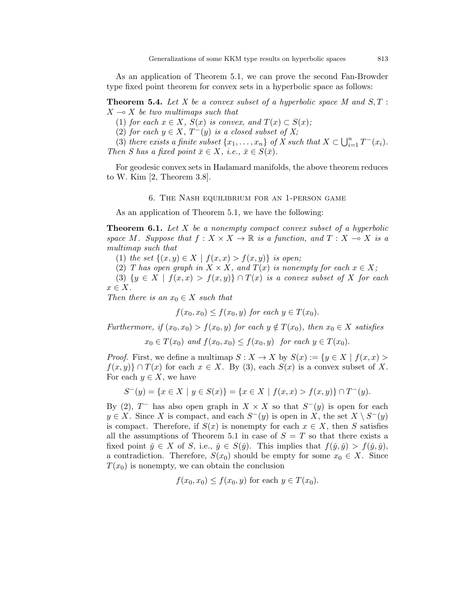As an application of Theorem 5.1, we can prove the second Fan-Browder type fixed point theorem for convex sets in a hyperbolic space as follows:

**Theorem 5.4.** Let X be a convex subset of a hyperbolic space M and  $S, T$ :  $X \rightarrow X$  be two multimaps such that

(1) for each  $x \in X$ ,  $S(x)$  is convex, and  $T(x) \subset S(x)$ ;

(2) for each  $y \in X$ ,  $T^-(y)$  is a closed subset of X;

(3) there exists a finite subset  $\{x_1, \ldots, x_n\}$  of X such that  $X \subset \bigcup_{i=1}^n T^{-}(x_i)$ . Then S has a fixed point  $\bar{x} \in X$ , i.e.,  $\bar{x} \in S(\bar{x})$ .

For geodesic convex sets in Hadamard manifolds, the above theorem reduces to W. Kim [2, Theorem 3.8].

#### 6. The Nash equilibrium for an 1-person game

As an application of Theorem 5.1, we have the following:

**Theorem 6.1.** Let  $X$  be a nonempty compact convex subset of a hyperbolic space M. Suppose that  $f : X \times X \to \mathbb{R}$  is a function, and  $T : X \to X$  is a multimap such that

(1) the set  $\{(x, y) \in X \mid f(x, x) > f(x, y)\}\$ is open;

(2) T has open graph in  $X \times X$ , and  $T(x)$  is nonempty for each  $x \in X$ ;

(3)  $\{y \in X \mid f(x,x) > f(x,y)\} \cap T(x)$  is a convex subset of X for each  $x \in X$ .

Then there is an  $x_0 \in X$  such that

 $f(x_0, x_0) \le f(x_0, y)$  for each  $y \in T(x_0)$ .

Furthermore, if  $(x_0, x_0) > f(x_0, y)$  for each  $y \notin T(x_0)$ , then  $x_0 \in X$  satisfies

 $x_0 \in T(x_0)$  and  $f(x_0, x_0) \leq f(x_0, y)$  for each  $y \in T(x_0)$ .

*Proof.* First, we define a multimap  $S: X \to X$  by  $S(x) := \{y \in X \mid f(x, x) >$  $f(x, y)$   $\cap$   $T(x)$  for each  $x \in X$ . By (3), each  $S(x)$  is a convex subset of X. For each  $y \in X$ , we have

$$
S^-(y) = \{ x \in X \mid y \in S(x) \} = \{ x \in X \mid f(x, x) > f(x, y) \} \cap T^-(y).
$$

By (2),  $T^-$  has also open graph in  $X \times X$  so that  $S^-(y)$  is open for each  $y \in X$ . Since X is compact, and each  $S^-(y)$  is open in X, the set  $X \setminus S^-(y)$ is compact. Therefore, if  $S(x)$  is nonempty for each  $x \in X$ , then S satisfies all the assumptions of Theorem 5.1 in case of  $S = T$  so that there exists a fixed point  $\check{y} \in X$  of S, i.e.,  $\check{y} \in S(\check{y})$ . This implies that  $f(\check{y}, \check{y}) > f(\check{y}, \check{y})$ , a contradiction. Therefore,  $S(x_0)$  should be empty for some  $x_0 \in X$ . Since  $T(x_0)$  is nonempty, we can obtain the conclusion

 $f(x_0, x_0) \leq f(x_0, y)$  for each  $y \in T(x_0)$ .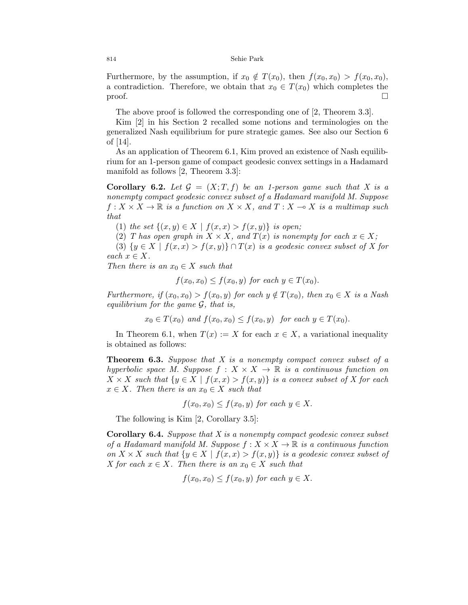Furthermore, by the assumption, if  $x_0 \notin T(x_0)$ , then  $f(x_0, x_0) > f(x_0, x_0)$ , a contradiction. Therefore, we obtain that  $x_0 \in T(x_0)$  which completes the proof.  $\Box$ 

The above proof is followed the corresponding one of [2, Theorem 3.3].

Kim [2] in his Section 2 recalled some notions and terminologies on the generalized Nash equilibrium for pure strategic games. See also our Section 6 of [14].

As an application of Theorem 6.1, Kim proved an existence of Nash equilibrium for an 1-person game of compact geodesic convex settings in a Hadamard manifold as follows [2, Theorem 3.3]:

**Corollary 6.2.** Let  $\mathcal{G} = (X; T, f)$  be an 1-person game such that X is a nonempty compact geodesic convex subset of a Hadamard manifold M. Suppose  $f: X \times X \to \mathbb{R}$  is a function on  $X \times X$ , and  $T: X \to X$  is a multimap such that

(1) the set  $\{(x, y) \in X \mid f(x, x) > f(x, y)\}\$ is open;

(2) T has open graph in  $X \times X$ , and  $T(x)$  is nonempty for each  $x \in X$ ;

(3)  $\{y \in X \mid f(x,x) > f(x,y)\} \cap T(x)$  is a geodesic convex subset of X for each  $x \in X$ .

Then there is an  $x_0 \in X$  such that

 $f(x_0, x_0) \le f(x_0, y)$  for each  $y \in T(x_0)$ .

Furthermore, if  $(x_0, x_0) > f(x_0, y)$  for each  $y \notin T(x_0)$ , then  $x_0 \in X$  is a Nash equilibrium for the game  $\mathcal{G}$ , that is,

$$
x_0 \in T(x_0) \text{ and } f(x_0, x_0) \le f(x_0, y) \text{ for each } y \in T(x_0).
$$

In Theorem 6.1, when  $T(x) := X$  for each  $x \in X$ , a variational inequality is obtained as follows:

**Theorem 6.3.** Suppose that  $X$  is a nonempty compact convex subset of a hyperbolic space M. Suppose  $f : X \times X \to \mathbb{R}$  is a continuous function on  $X \times X$  such that  $\{y \in X \mid f(x,x) > f(x,y)\}$  is a convex subset of X for each  $x \in X$ . Then there is an  $x_0 \in X$  such that

 $f(x_0, x_0) \leq f(x_0, y)$  for each  $y \in X$ .

The following is Kim [2, Corollary 3.5]:

Corollary 6.4. Suppose that X is a nonempty compact geodesic convex subset of a Hadamard manifold M. Suppose  $f: X \times X \to \mathbb{R}$  is a continuous function on  $X \times X$  such that  $\{y \in X \mid f(x,x) > f(x,y)\}$  is a geodesic convex subset of X for each  $x \in X$ . Then there is an  $x_0 \in X$  such that

$$
f(x_0, x_0) \le f(x_0, y) \text{ for each } y \in X.
$$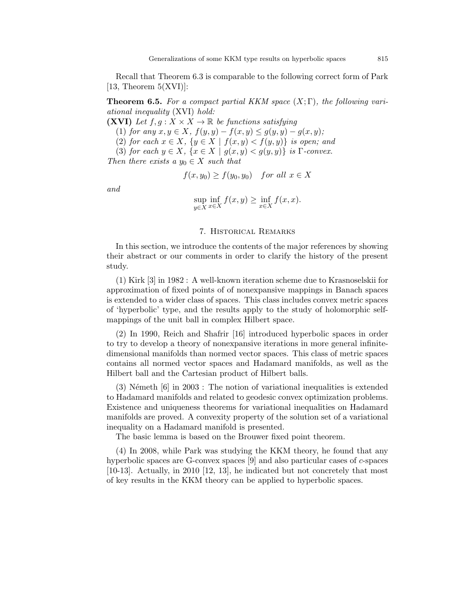Recall that Theorem 6.3 is comparable to the following correct form of Park [13, Theorem  $5(XVI)$ ]:

**Theorem 6.5.** For a compact partial KKM space  $(X; \Gamma)$ , the following variational inequality (XVI) hold:

(XVI) Let  $f, g: X \times X \to \mathbb{R}$  be functions satisfying

(1) for any  $x, y \in X$ ,  $f(y, y) - f(x, y) \le g(y, y) - g(x, y)$ ;

(2) for each  $x \in X$ ,  $\{y \in X \mid f(x, y) < f(y, y)\}$  is open; and

(3) for each  $y \in X$ ,  $\{x \in X \mid g(x,y) < g(y,y)\}\$ is Γ-convex.

Then there exists a  $y_0 \in X$  such that

$$
f(x, y_0) \ge f(y_0, y_0) \quad \text{for all } x \in X
$$

and

$$
\sup_{y \in X} \inf_{x \in X} f(x, y) \ge \inf_{x \in X} f(x, x).
$$

### 7. Historical Remarks

In this section, we introduce the contents of the major references by showing their abstract or our comments in order to clarify the history of the present study.

(1) Kirk [3] in 1982 : A well-known iteration scheme due to Krasnoselskii for approximation of fixed points of of nonexpansive mappings in Banach spaces is extended to a wider class of spaces. This class includes convex metric spaces of 'hyperbolic' type, and the results apply to the study of holomorphic selfmappings of the unit ball in complex Hilbert space.

(2) In 1990, Reich and Shafrir [16] introduced hyperbolic spaces in order to try to develop a theory of nonexpansive iterations in more general infinitedimensional manifolds than normed vector spaces. This class of metric spaces contains all normed vector spaces and Hadamard manifolds, as well as the Hilbert ball and the Cartesian product of Hilbert balls.

 $(3)$  Németh  $[6]$  in 2003 : The notion of variational inequalities is extended to Hadamard manifolds and related to geodesic convex optimization problems. Existence and uniqueness theorems for variational inequalities on Hadamard manifolds are proved. A convexity property of the solution set of a variational inequality on a Hadamard manifold is presented.

The basic lemma is based on the Brouwer fixed point theorem.

(4) In 2008, while Park was studying the KKM theory, he found that any hyperbolic spaces are G-convex spaces  $[9]$  and also particular cases of c-spaces [10-13]. Actually, in 2010 [12, 13], he indicated but not concretely that most of key results in the KKM theory can be applied to hyperbolic spaces.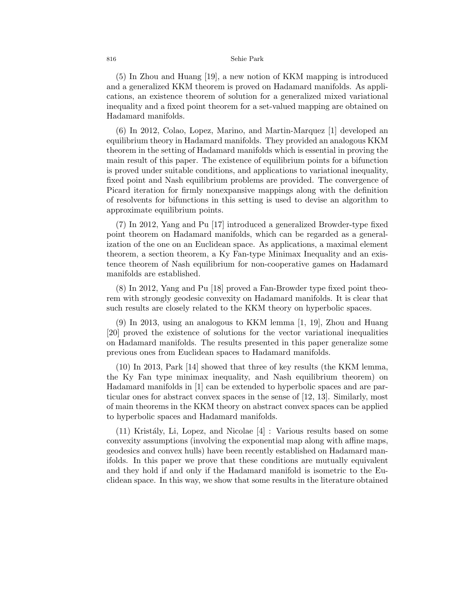(5) In Zhou and Huang [19], a new notion of KKM mapping is introduced and a generalized KKM theorem is proved on Hadamard manifolds. As applications, an existence theorem of solution for a generalized mixed variational inequality and a fixed point theorem for a set-valued mapping are obtained on Hadamard manifolds.

(6) In 2012, Colao, Lopez, Marino, and Martin-Marquez [1] developed an equilibrium theory in Hadamard manifolds. They provided an analogous KKM theorem in the setting of Hadamard manifolds which is essential in proving the main result of this paper. The existence of equilibrium points for a bifunction is proved under suitable conditions, and applications to variational inequality, fixed point and Nash equilibrium problems are provided. The convergence of Picard iteration for firmly nonexpansive mappings along with the definition of resolvents for bifunctions in this setting is used to devise an algorithm to approximate equilibrium points.

(7) In 2012, Yang and Pu [17] introduced a generalized Browder-type fixed point theorem on Hadamard manifolds, which can be regarded as a generalization of the one on an Euclidean space. As applications, a maximal element theorem, a section theorem, a Ky Fan-type Minimax Inequality and an existence theorem of Nash equilibrium for non-cooperative games on Hadamard manifolds are established.

(8) In 2012, Yang and Pu [18] proved a Fan-Browder type fixed point theorem with strongly geodesic convexity on Hadamard manifolds. It is clear that such results are closely related to the KKM theory on hyperbolic spaces.

(9) In 2013, using an analogous to KKM lemma [1, 19], Zhou and Huang [20] proved the existence of solutions for the vector variational inequalities on Hadamard manifolds. The results presented in this paper generalize some previous ones from Euclidean spaces to Hadamard manifolds.

(10) In 2013, Park [14] showed that three of key results (the KKM lemma, the Ky Fan type minimax inequality, and Nash equilibrium theorem) on Hadamard manifolds in [1] can be extended to hyperbolic spaces and are particular ones for abstract convex spaces in the sense of [12, 13]. Similarly, most of main theorems in the KKM theory on abstract convex spaces can be applied to hyperbolic spaces and Hadamard manifolds.

 $(11)$  Kristály, Li, Lopez, and Nicolae  $[4]$  : Various results based on some convexity assumptions (involving the exponential map along with affine maps, geodesics and convex hulls) have been recently established on Hadamard manifolds. In this paper we prove that these conditions are mutually equivalent and they hold if and only if the Hadamard manifold is isometric to the Euclidean space. In this way, we show that some results in the literature obtained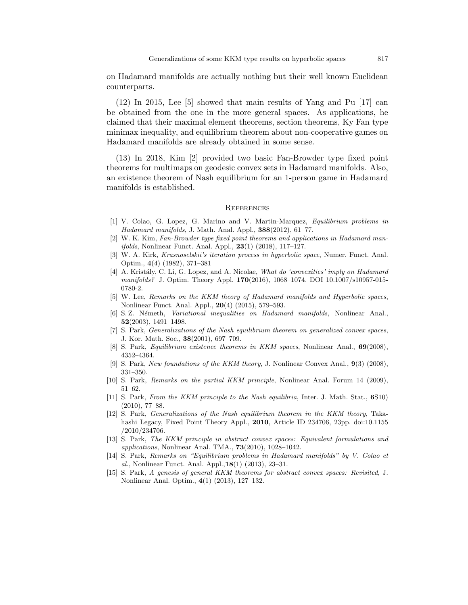on Hadamard manifolds are actually nothing but their well known Euclidean counterparts.

(12) In 2015, Lee [5] showed that main results of Yang and Pu [17] can be obtained from the one in the more general spaces. As applications, he claimed that their maximal element theorems, section theorems, Ky Fan type minimax inequality, and equilibrium theorem about non-cooperative games on Hadamard manifolds are already obtained in some sense.

(13) In 2018, Kim [2] provided two basic Fan-Browder type fixed point theorems for multimaps on geodesic convex sets in Hadamard manifolds. Also, an existence theorem of Nash equilibrium for an 1-person game in Hadamard manifolds is established.

#### **REFERENCES**

- [1] V. Colao, G. Lopez, G. Marino and V. Martin-Marquez, Equilibrium problems in Hadamard manifolds, J. Math. Anal. Appl., 388(2012), 61–77.
- [2] W. K. Kim, Fan-Browder type fixed point theorems and applications in Hadamard manifolds, Nonlinear Funct. Anal. Appl., 23(1) (2018), 117–127.
- [3] W. A. Kirk, Krasnoselskii's iteration process in hyperbolic space, Numer. Funct. Anal. Optim., 4(4) (1982), 371–381
- [4] A. Kristály, C. Li, G. Lopez, and A. Nicolae, What do 'convexities' imply on Hadamard manifolds? J. Optim. Theory Appl. 170(2016), 1068–1074. DOI 10.1007/s10957-015- 0780-2.
- [5] W. Lee, Remarks on the KKM theory of Hadamard manifolds and Hyperbolic spaces, Nonlinear Funct. Anal. Appl., 20(4) (2015), 579–593.
- [6] S.Z. Németh, Variational inequalities on Hadamard manifolds, Nonlinear Anal., 52(2003), 1491–1498.
- [7] S. Park, Generalizations of the Nash equilibrium theorem on generalized convex spaces, J. Kor. Math. Soc., 38(2001), 697–709.
- [8] S. Park, Equilibrium existence theorems in KKM spaces, Nonlinear Anal., 69(2008), 4352–4364.
- [9] S. Park, New foundations of the KKM theory, J. Nonlinear Convex Anal., 9(3) (2008), 331–350.
- [10] S. Park, Remarks on the partial KKM principle, Nonlinear Anal. Forum 14 (2009), 51–62.
- [11] S. Park, From the KKM principle to the Nash equilibria, Inter. J. Math. Stat., 6S10) (2010), 77–88.
- [12] S. Park, Generalizations of the Nash equilibrium theorem in the KKM theory, Takahashi Legacy, Fixed Point Theory Appl., 2010, Article ID 234706, 23pp. doi:10.1155 /2010/234706.
- [13] S. Park, The KKM principle in abstract convex spaces: Equivalent formulations and applications, Nonlinear Anal. TMA., 73(2010), 1028–1042.
- [14] S. Park, Remarks on "Equilibrium problems in Hadamard manifolds" by V. Colao et al., Nonlinear Funct. Anal. Appl.,18(1) (2013), 23–31.
- [15] S. Park, A genesis of general KKM theorems for abstract convex spaces: Revisited, J. Nonlinear Anal. Optim., 4(1) (2013), 127–132.